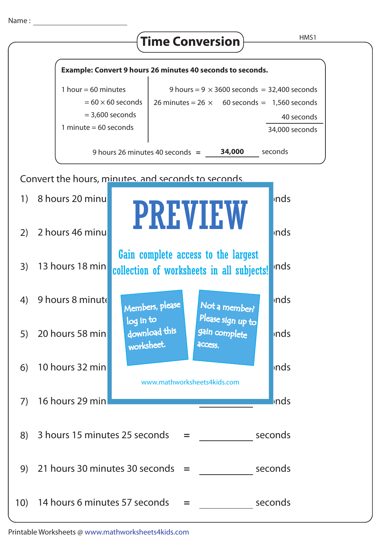